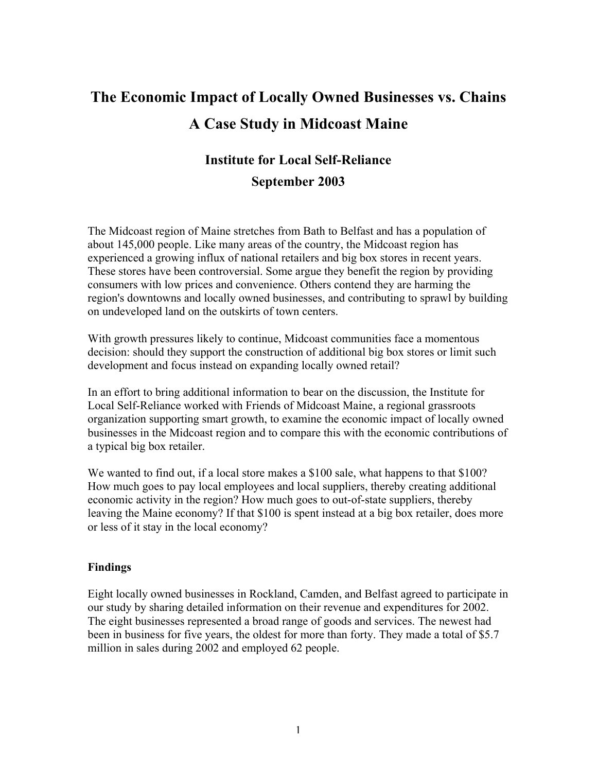## **The Economic Impact of Locally Owned Businesses vs. Chains A Case Study in Midcoast Maine**

## **Institute for Local Self-Reliance September 2003**

The Midcoast region of Maine stretches from Bath to Belfast and has a population of about 145,000 people. Like many areas of the country, the Midcoast region has experienced a growing influx of national retailers and big box stores in recent years. These stores have been controversial. Some argue they benefit the region by providing consumers with low prices and convenience. Others contend they are harming the region's downtowns and locally owned businesses, and contributing to sprawl by building on undeveloped land on the outskirts of town centers.

With growth pressures likely to continue, Midcoast communities face a momentous decision: should they support the construction of additional big box stores or limit such development and focus instead on expanding locally owned retail?

In an effort to bring additional information to bear on the discussion, the Institute for Local Self-Reliance worked with Friends of Midcoast Maine, a regional grassroots organization supporting smart growth, to examine the economic impact of locally owned businesses in the Midcoast region and to compare this with the economic contributions of a typical big box retailer.

We wanted to find out, if a local store makes a \$100 sale, what happens to that \$100? How much goes to pay local employees and local suppliers, thereby creating additional economic activity in the region? How much goes to out-of-state suppliers, thereby leaving the Maine economy? If that \$100 is spent instead at a big box retailer, does more or less of it stay in the local economy?

## **Findings**

Eight locally owned businesses in Rockland, Camden, and Belfast agreed to participate in our study by sharing detailed information on their revenue and expenditures for 2002. The eight businesses represented a broad range of goods and services. The newest had been in business for five years, the oldest for more than forty. They made a total of \$5.7 million in sales during 2002 and employed 62 people.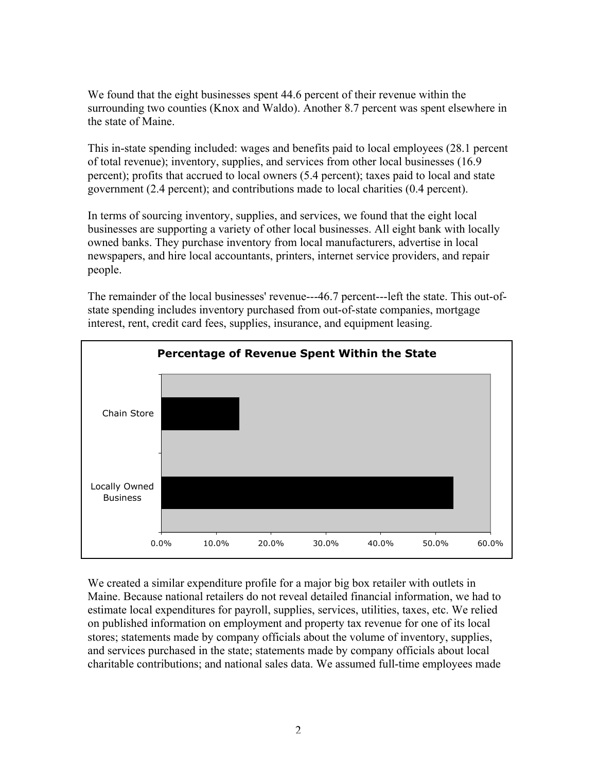We found that the eight businesses spent 44.6 percent of their revenue within the surrounding two counties (Knox and Waldo). Another 8.7 percent was spent elsewhere in the state of Maine.

This in-state spending included: wages and benefits paid to local employees (28.1 percent of total revenue); inventory, supplies, and services from other local businesses (16.9 percent); profits that accrued to local owners (5.4 percent); taxes paid to local and state government (2.4 percent); and contributions made to local charities (0.4 percent).

In terms of sourcing inventory, supplies, and services, we found that the eight local businesses are supporting a variety of other local businesses. All eight bank with locally owned banks. They purchase inventory from local manufacturers, advertise in local newspapers, and hire local accountants, printers, internet service providers, and repair people.

The remainder of the local businesses' revenue---46.7 percent---left the state. This out-ofstate spending includes inventory purchased from out-of-state companies, mortgage interest, rent, credit card fees, supplies, insurance, and equipment leasing.



We created a similar expenditure profile for a major big box retailer with outlets in Maine. Because national retailers do not reveal detailed financial information, we had to estimate local expenditures for payroll, supplies, services, utilities, taxes, etc. We relied on published information on employment and property tax revenue for one of its local stores; statements made by company officials about the volume of inventory, supplies, and services purchased in the state; statements made by company officials about local charitable contributions; and national sales data. We assumed full-time employees made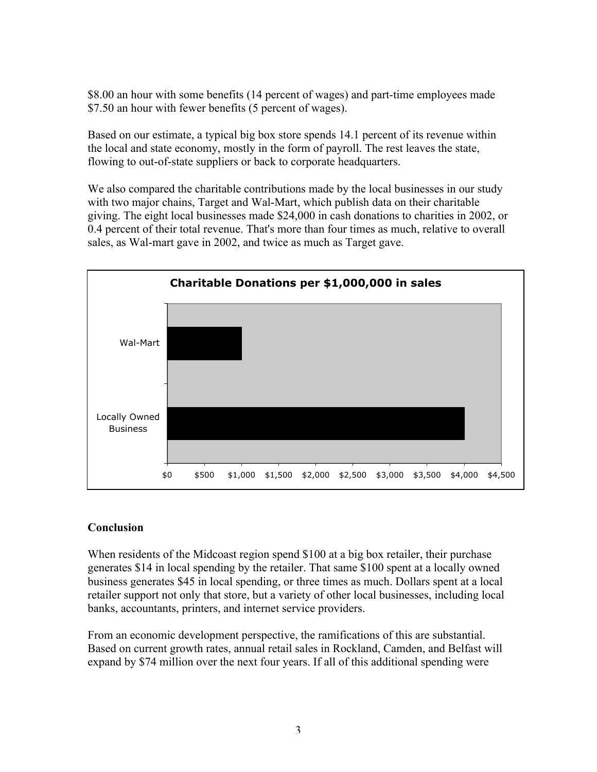\$8.00 an hour with some benefits (14 percent of wages) and part-time employees made \$7.50 an hour with fewer benefits (5 percent of wages).

Based on our estimate, a typical big box store spends 14.1 percent of its revenue within the local and state economy, mostly in the form of payroll. The rest leaves the state, flowing to out-of-state suppliers or back to corporate headquarters.

We also compared the charitable contributions made by the local businesses in our study with two major chains, Target and Wal-Mart, which publish data on their charitable giving. The eight local businesses made \$24,000 in cash donations to charities in 2002, or 0.4 percent of their total revenue. That's more than four times as much, relative to overall sales, as Wal-mart gave in 2002, and twice as much as Target gave.



## **Conclusion**

When residents of the Midcoast region spend \$100 at a big box retailer, their purchase generates \$14 in local spending by the retailer. That same \$100 spent at a locally owned business generates \$45 in local spending, or three times as much. Dollars spent at a local retailer support not only that store, but a variety of other local businesses, including local banks, accountants, printers, and internet service providers.

From an economic development perspective, the ramifications of this are substantial. Based on current growth rates, annual retail sales in Rockland, Camden, and Belfast will expand by \$74 million over the next four years. If all of this additional spending were